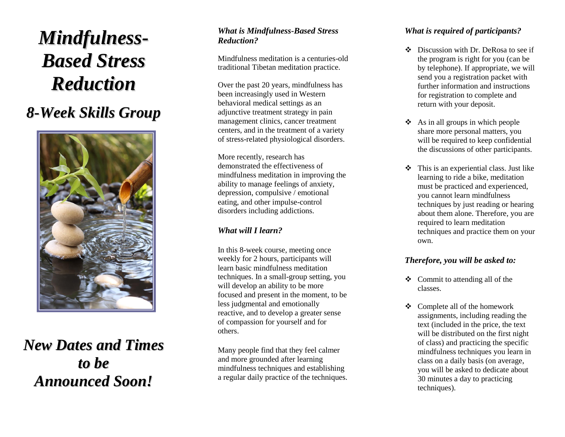# *Mi n dfu ln e s s - Based Stress R e d u c ti o n*

# *8 - We e k S k i lls Gro up*



*New Dates and Times to b e A n n o u n c e d S o o n !*

#### *What is Mindfulness -Based Stress Reduction?*

Mindfulness meditation is a centuries -old traditional Tibetan meditation practice.

Over the past 20 years, mindfulness has been increasingly used in Western behavioral medical settings as an adjunctive treatment strategy in pain management clinics, cancer treatment centers, and in the treatment of a variety of stress -related physiological disorders.

More recently, research has demonstrated the effectiveness of mindfulness meditation in improving the ability to manage feelings of anxiety, depression, compulsive / emotional eating, and other impulse -control disorders including addictions.

#### *What will I learn?*

In this 8 -week course, meeting once weekly for 2 hours, participants will learn basic mindfulness meditation techniques. In a small -group setting, you will develop an ability to be more focused and present in the moment, to be less judgmental and emotionally reactive, and to develop a greater sense of compassion for yourself and for others.

Many people find that they feel calmer and more grounded after learning mindfulness techniques and establishing a regular daily practice of the techniques.

#### *What is required of participants?*

- ❖ Discussion with Dr. DeRosa to see if the program is right for you (can be by telephone). If appropriate, we will send you a registration packet with further information and instructions for registration to complete and return with your deposit.
- $\triangleleft$  As in all groups in which people share more personal matters, you will be required to keep confidential the discussions of other participants.
- ❖ This is an experiential class. Just like learning to ride a bike, meditation must be practiced and experienced, you cannot learn mindfulness techniques by just reading or hearing about them alone. Therefore, you are required to learn meditation techniques and practice them on your own .

#### *Therefore, you will be asked to :*

- ❖ Commit to attending all of the classes.
- ❖ Complete all of the homework assignments, including reading the text (included in the price, the text will be distributed on the first night of class) and practicing the specific mindfulness techniques you learn in class on a daily basis (on average, you will be asked to dedicate about 30 minutes a day to practicing techniques).